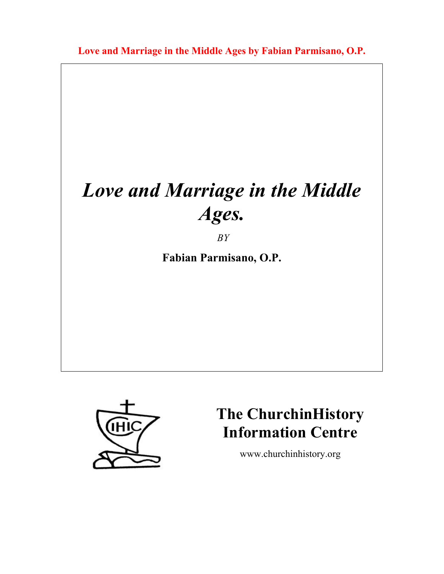**Love and Marriage in the Middle Ages by Fabian Parmisano, O.P.** 

# *Love and Marriage in the Middle Ages.*

 *BY* 

**Fabian Parmisano, O.P.** 



## **The ChurchinHistory Information Centre**

www.churchinhistory.org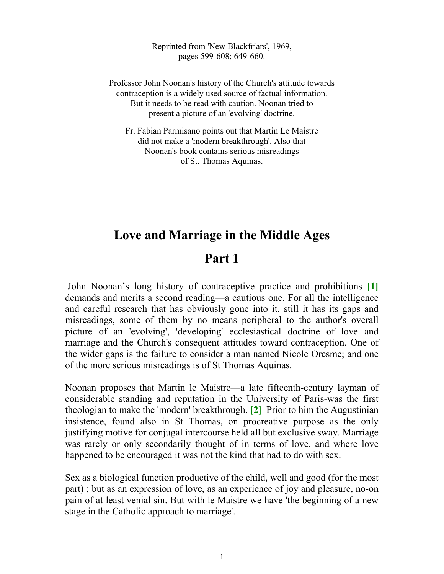Reprinted from 'New Blackfriars', 1969, pages 599-608; 649-660.

Professor John Noonan's history of the Church's attitude towards contraception is a widely used source of factual information. But it needs to be read with caution. Noonan tried to present a picture of an 'evolving' doctrine.

Fr. Fabian Parmisano points out that Martin Le Maistre did not make a 'modern breakthrough'. Also that Noonan's book contains serious misreadings of St. Thomas Aquinas.

### **Love and Marriage in the Middle Ages**

#### **Part 1**

John Noonan's long history of contraceptive practice and prohibitions **[1]** demands and merits a second reading—a cautious one. For all the intelligence and careful research that has obviously gone into it, still it has its gaps and misreadings, some of them by no means peripheral to the author's overall picture of an 'evolving', 'developing' ecclesiastical doctrine of love and marriage and the Church's consequent attitudes toward contraception. One of the wider gaps is the failure to consider a man named Nicole Oresme; and one of the more serious misreadings is of St Thomas Aquinas.

Noonan proposes that Martin le Maistre—a late fifteenth-century layman of considerable standing and reputation in the University of Paris-was the first theologian to make the 'modern' breakthrough. **[2]** Prior to him the Augustinian insistence, found also in St Thomas, on procreative purpose as the only justifying motive for conjugal intercourse held all but exclusive sway. Marriage was rarely or only secondarily thought of in terms of love, and where love happened to be encouraged it was not the kind that had to do with sex.

Sex as a biological function productive of the child, well and good (for the most part) ; but as an expression of love, as an experience of joy and pleasure, no-on pain of at least venial sin. But with le Maistre we have 'the beginning of a new stage in the Catholic approach to marriage'.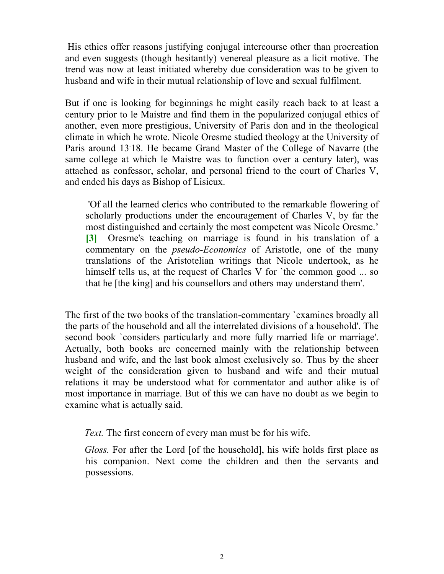His ethics offer reasons justifying conjugal intercourse other than procreation and even suggests (though hesitantly) venereal pleasure as a licit motive. The trend was now at least initiated whereby due consideration was to be given to husband and wife in their mutual relationship of love and sexual fulfilment.

But if one is looking for beginnings he might easily reach back to at least a century prior to le Maistre and find them in the popularized conjugal ethics of another, even more prestigious, University of Paris don and in the theological climate in which he wrote. Nicole Oresme studied theology at the University of Paris around 13:18. He became Grand Master of the College of Navarre (the same college at which le Maistre was to function over a century later), was attached as confessor, scholar, and personal friend to the court of Charles V, and ended his days as Bishop of Lisieux.

'Of all the learned clerics who contributed to the remarkable flowering of scholarly productions under the encouragement of Charles V, by far the most distinguished and certainly the most competent was Nicole Oresme.' **[3]** Oresme's teaching on marriage is found in his translation of a commentary on the *pseudo-Economics* of Aristotle, one of the many translations of the Aristotelian writings that Nicole undertook, as he himself tells us, at the request of Charles V for 'the common good ... so that he [the king] and his counsellors and others may understand them'.

The first of the two books of the translation-commentary `examines broadly all the parts of the household and all the interrelated divisions of a household'. The second book `considers particularly and more fully married life or marriage'. Actually, both books arc concerned mainly with the relationship between husband and wife, and the last book almost exclusively so. Thus by the sheer weight of the consideration given to husband and wife and their mutual relations it may be understood what for commentator and author alike is of most importance in marriage. But of this we can have no doubt as we begin to examine what is actually said.

*Text.* The first concern of every man must be for his wife.

*Gloss.* For after the Lord [of the household], his wife holds first place as his companion. Next come the children and then the servants and possessions.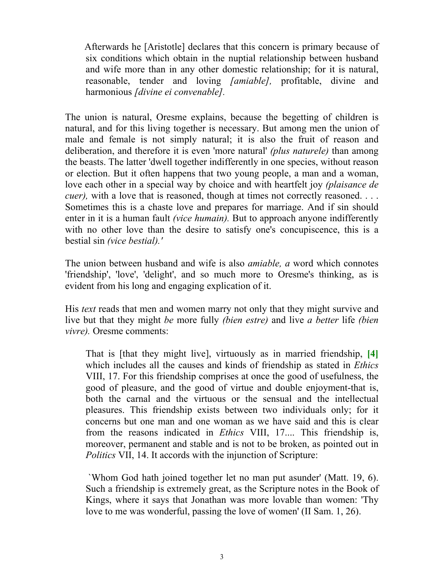Afterwards he [Aristotle] declares that this concern is primary because of six conditions which obtain in the nuptial relationship between husband and wife more than in any other domestic relationship; for it is natural, reasonable, tender and loving *[amiable],* profitable, divine and harmonious *[divine ei convenable].*

The union is natural, Oresme explains, because the begetting of children is natural, and for this living together is necessary. But among men the union of male and female is not simply natural; it is also the fruit of reason and deliberation, and therefore it is even 'more natural' *(plus naturele)* than among the beasts. The latter 'dwell together indifferently in one species, without reason or election. But it often happens that two young people, a man and a woman, love each other in a special way by choice and with heartfelt joy *(plaisance de cuer*), with a love that is reasoned, though at times not correctly reasoned. . . . Sometimes this is a chaste love and prepares for marriage. And if sin should enter in it is a human fault *(vice humain)*. But to approach anyone indifferently with no other love than the desire to satisfy one's concupiscence, this is a bestial sin *(vice bestial).'*

The union between husband and wife is also *amiable, a* word which connotes 'friendship', 'love', 'delight', and so much more to Oresme's thinking, as is evident from his long and engaging explication of it.

His *text* reads that men and women marry not only that they might survive and live but that they might *be* more fully *(bien estre)* and live *a better* life *(bien vivre).* Oresme comments:

That is [that they might live], virtuously as in married friendship, **[4]** which includes all the causes and kinds of friendship as stated in *Ethics*  VIII, 17. For this friendship comprises at once the good of usefulness, the good of pleasure, and the good of virtue and double enjoyment-that is, both the carnal and the virtuous or the sensual and the intellectual pleasures. This friendship exists between two individuals only; for it concerns but one man and one woman as we have said and this is clear from the reasons indicated in *Ethics* VIII, 17.... This friendship is, moreover, permanent and stable and is not to be broken, as pointed out in *Politics* VII, 14. It accords with the injunction of Scripture:

`Whom God hath joined together let no man put asunder' (Matt. 19, 6). Such a friendship is extremely great, as the Scripture notes in the Book of Kings, where it says that Jonathan was more lovable than women: 'Thy love to me was wonderful, passing the love of women' (II Sam. 1, 26).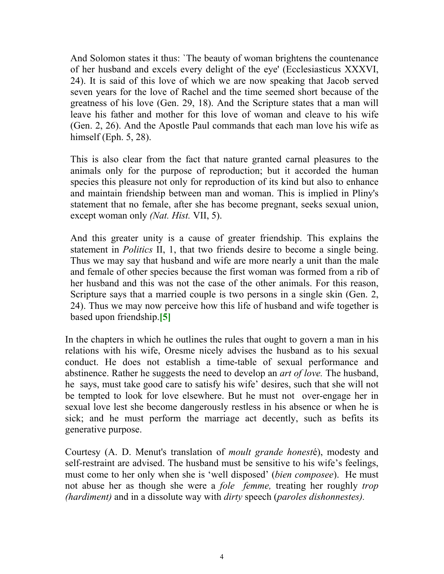And Solomon states it thus: `The beauty of woman brightens the countenance of her husband and excels every delight of the eye' (Ecclesiasticus XXXVI, 24). It is said of this love of which we are now speaking that Jacob served seven years for the love of Rachel and the time seemed short because of the greatness of his love (Gen. 29, 18). And the Scripture states that a man will leave his father and mother for this love of woman and cleave to his wife (Gen. 2, 26). And the Apostle Paul commands that each man love his wife as himself (Eph. 5, 28).

This is also clear from the fact that nature granted carnal pleasures to the animals only for the purpose of reproduction; but it accorded the human species this pleasure not only for reproduction of its kind but also to enhance and maintain friendship between man and woman. This is implied in Pliny's statement that no female, after she has become pregnant, seeks sexual union, except woman only *(Nat. Hist.* VII, 5).

And this greater unity is a cause of greater friendship. This explains the statement in *Politics* II, 1, that two friends desire to become a single being. Thus we may say that husband and wife are more nearly a unit than the male and female of other species because the first woman was formed from a rib of her husband and this was not the case of the other animals. For this reason, Scripture says that a married couple is two persons in a single skin (Gen. 2, 24). Thus we may now perceive how this life of husband and wife together is based upon friendship.**[5]**

In the chapters in which he outlines the rules that ought to govern a man in his relations with his wife, Oresme nicely advises the husband as to his sexual conduct. He does not establish a time-table of sexual performance and abstinence. Rather he suggests the need to develop an *art of love.* The husband, he says, must take good care to satisfy his wife' desires, such that she will not be tempted to look for love elsewhere. But he must not over-engage her in sexual love lest she become dangerously restless in his absence or when he is sick; and he must perform the marriage act decently, such as befits its generative purpose.

Courtesy (A. D. Menut's translation of *moult grande honest*é), modesty and self-restraint are advised. The husband must be sensitive to his wife's feelings, must come to her only when she is 'well disposed' (*bien composee*). He must not abuse her as though she were a *fole femme,* treating her roughly *trop (hardiment)* and in a dissolute way with *dirty* speech (*paroles dishonnestes).*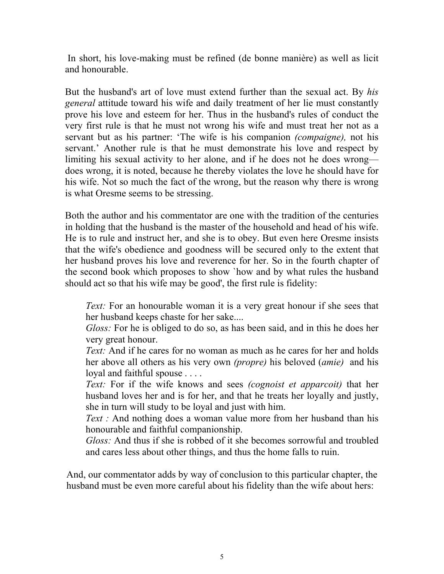In short, his love-making must be refined (de bonne manière) as well as licit and honourable.

But the husband's art of love must extend further than the sexual act. By *his general* attitude toward his wife and daily treatment of her lie must constantly prove his love and esteem for her. Thus in the husband's rules of conduct the very first rule is that he must not wrong his wife and must treat her not as a servant but as his partner: 'The wife is his companion *(compaigne),* not his servant.' Another rule is that he must demonstrate his love and respect by limiting his sexual activity to her alone, and if he does not he does wrong does wrong, it is noted, because he thereby violates the love he should have for his wife. Not so much the fact of the wrong, but the reason why there is wrong is what Oresme seems to be stressing.

Both the author and his commentator are one with the tradition of the centuries in holding that the husband is the master of the household and head of his wife. He is to rule and instruct her, and she is to obey. But even here Oresme insists that the wife's obedience and goodness will be secured only to the extent that her husband proves his love and reverence for her. So in the fourth chapter of the second book which proposes to show `how and by what rules the husband should act so that his wife may be good', the first rule is fidelity:

*Text:* For an honourable woman it is a very great honour if she sees that her husband keeps chaste for her sake....

*Gloss:* For he is obliged to do so, as has been said, and in this he does her very great honour.

*Text:* And if he cares for no woman as much as he cares for her and holds her above all others as his very own *(propre)* his beloved (*amie)* and his loyal and faithful spouse . . . .

*Text:* For if the wife knows and sees *(cognoist et apparcoit)* that her husband loves her and is for her, and that he treats her loyally and justly, she in turn will study to be loyal and just with him.

*Text* : And nothing does a woman value more from her husband than his honourable and faithful companionship.

*Gloss:* And thus if she is robbed of it she becomes sorrowful and troubled and cares less about other things, and thus the home falls to ruin.

And, our commentator adds by way of conclusion to this particular chapter, the husband must be even more careful about his fidelity than the wife about hers: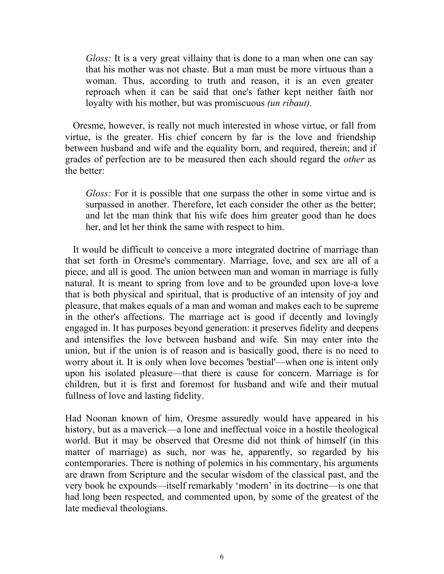*Gloss:* It is a very great villainy that is done to a man when one can say that his mother was not chaste. But a man must be more virtuous than a woman. Thus, according to truth and reason, it is an even greater reproach when it can be said that one's father kept neither faith nor loyalty with his mother, but was promiscuous *(un ribaut).* 

Oresme, however, is really not much interested in whose virtue, or fall from virtue, is the greater. His chief concern by far is the love and friendship between husband and wife and the equality born, and required, therein; and if grades of perfection are to be measured then each should regard the *other* as the better:

*Gloss:* For it is possible that one surpass the other in some virtue and is surpassed in another. Therefore, let each consider the other as the better; and let the man think that his wife does him greater good than he does her, and let her think the same with respect to him.

It would be difficult to conceive a more integrated doctrine of marriage than that set forth in Oresme's commentary. Marriage, love, and sex are all of a piece, and all is good. The union between man and woman in marriage is fully natural. It is meant to spring from love and to be grounded upon love-a love that is both physical and spiritual, that is productive of an intensity of joy and pleasure, that makes equals of a man and woman and makes each to be supreme in the other's affections. The marriage act is good if decently and lovingly engaged in. It has purposes beyond generation: it preserves fidelity and deepens and intensifies the love between husband and wife. Sin may enter into the union, but if the union is of reason and is basically good, there is no need to worry about it. It is only when love becomes 'bestial'—when one is intent only upon his isolated pleasure—that there is cause for concern. Marriage is for children, but it is first and foremost for husband and wife and their mutual fullness of love and lasting fidelity.

Had Noonan known of him, Oresme assuredly would have appeared in his history, but as a maverick—a lone and ineffectual voice in a hostile theological world. But it may be observed that Oresme did not think of himself (in this matter of marriage) as such, nor was he, apparently, so regarded by his contemporaries. There is nothing of polemics in his commentary, his arguments are drawn from Scripture and the secular wisdom of the classical past, and the very book he expounds—itself remarkably 'modern' in its doctrine—is one that had long been respected, and commented upon, by some of the greatest of the late medieval theologians.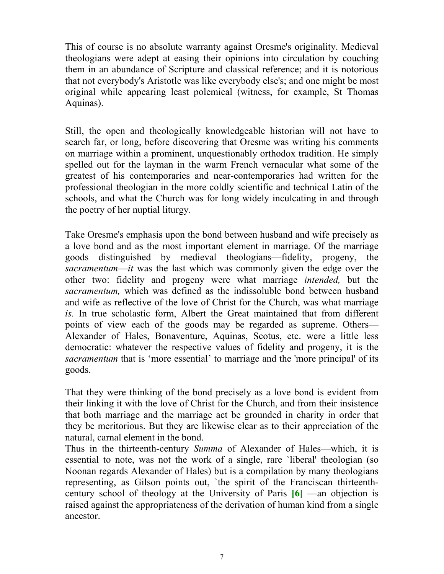This of course is no absolute warranty against Oresme's originality. Medieval theologians were adept at easing their opinions into circulation by couching them in an abundance of Scripture and classical reference; and it is notorious that not everybody's Aristotle was like everybody else's; and one might be most original while appearing least polemical (witness, for example, St Thomas Aquinas).

Still, the open and theologically knowledgeable historian will not have to search far, or long, before discovering that Oresme was writing his comments on marriage within a prominent, unquestionably orthodox tradition. He simply spelled out for the layman in the warm French vernacular what some of the greatest of his contemporaries and near-contemporaries had written for the professional theologian in the more coldly scientific and technical Latin of the schools, and what the Church was for long widely inculcating in and through the poetry of her nuptial liturgy.

Take Oresme's emphasis upon the bond between husband and wife precisely as a love bond and as the most important element in marriage. Of the marriage goods distinguished by medieval theologians—fidelity, progeny, the *sacramentum*—*it* was the last which was commonly given the edge over the other two: fidelity and progeny were what marriage *intended,* but the *sacramentum,* which was defined as the indissoluble bond between husband and wife as reflective of the love of Christ for the Church, was what marriage *is.* In true scholastic form, Albert the Great maintained that from different points of view each of the goods may be regarded as supreme. Others— Alexander of Hales, Bonaventure, Aquinas, Scotus, etc. were a little less democratic: whatever the respective values of fidelity and progeny, it is the *sacramentum* that is 'more essential' to marriage and the 'more principal' of its goods.

That they were thinking of the bond precisely as a love bond is evident from their linking it with the love of Christ for the Church, and from their insistence that both marriage and the marriage act be grounded in charity in order that they be meritorious. But they are likewise clear as to their appreciation of the natural, carnal element in the bond.

Thus in the thirteenth-century *Summa* of Alexander of Hales—which, it is essential to note, was not the work of a single, rare `liberal' theologian (so Noonan regards Alexander of Hales) but is a compilation by many theologians representing, as Gilson points out, `the spirit of the Franciscan thirteenthcentury school of theology at the University of Paris **[6]** —an objection is raised against the appropriateness of the derivation of human kind from a single ancestor.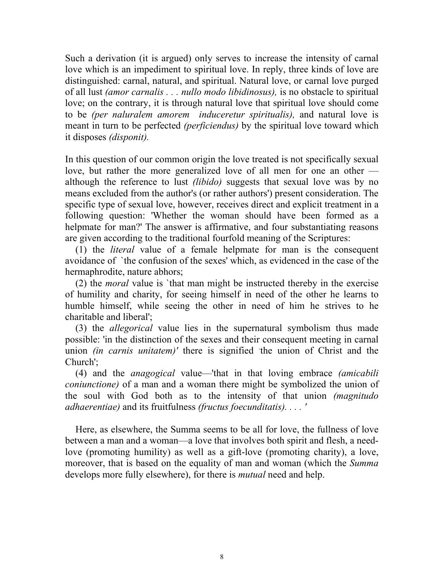Such a derivation (it is argued) only serves to increase the intensity of carnal love which is an impediment to spiritual love. In reply, three kinds of love are distinguished: carnal, natural, and spiritual. Natural love, or carnal love purged of all lust *(amor carnalis . . . nullo modo libidinosus),* is no obstacle to spiritual love; on the contrary, it is through natural love that spiritual love should come to be *(per naluralem amorem induceretur spiritualis),* and natural love is meant in turn to be perfected *(perficiendus)* by the spiritual love toward which it disposes *(disponit).* 

In this question of our common origin the love treated is not specifically sexual love, but rather the more generalized love of all men for one an other  although the reference to lust *(libido)* suggests that sexual love was by no means excluded from the author's (or rather authors') present consideration. The specific type of sexual love, however, receives direct and explicit treatment in a following question: 'Whether the woman should have been formed as a helpmate for man?' The answer is affirmative, and four substantiating reasons are given according to the traditional fourfold meaning of the Scriptures:

 (1) the *literal* value of a female helpmate for man is the consequent avoidance of`the confusion of the sexes' which, as evidenced in the case of the hermaphrodite, nature abhors;

 (2) the *moral* value is `that man might be instructed thereby in the exercise of humility and charity, for seeing himself in need of the other he learns to humble himself, while seeing the other in need of him he strives to he charitable and liberal';

 (3) the *allegorical* value lies in the supernatural symbolism thus made possible: 'in the distinction of the sexes and their consequent meeting in carnal union *(in carnis unitatem)* there is signified the union of Christ and the Church';

(4) and the *anagogical* value—'that in that loving embrace *(amicabili coniunctione)* of a man and a woman there might be symbolized the union of the soul with God both as to the intensity of that union *(magnitudo adhaerentiae)* and its fruitfulness *(fructus foecunditatis). . . . '*

Here, as elsewhere, the Summa seems to be all for love, the fullness of love between a man and a woman—a love that involves both spirit and flesh, a needlove (promoting humility) as well as a gift-love (promoting charity), a love, moreover, that is based on the equality of man and woman (which the *Summa*  develops more fully elsewhere), for there is *mutual* need and help.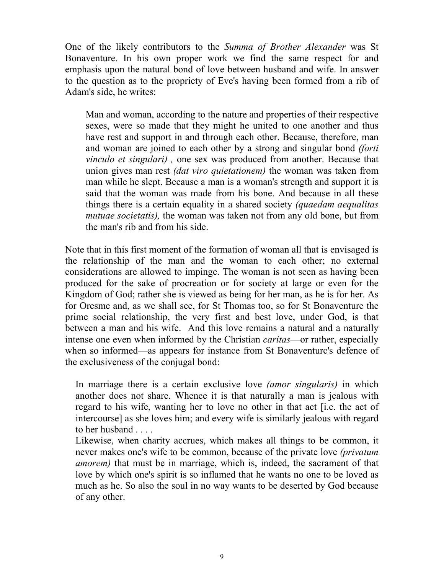One of the likely contributors to the *Summa of Brother Alexander* was St Bonaventure. In his own proper work we find the same respect for and emphasis upon the natural bond of love between husband and wife. In answer to the question as to the propriety of Eve's having been formed from a rib of Adam's side, he writes:

Man and woman, according to the nature and properties of their respective sexes, were so made that they might he united to one another and thus have rest and support in and through each other. Because, therefore, man and woman are joined to each other by a strong and singular bond *(forti vinculo et singulari) ,* one sex was produced from another. Because that union gives man rest *(dat viro quietationem)* the woman was taken from man while he slept. Because a man is a woman's strength and support it is said that the woman was made from his bone. And because in all these things there is a certain equality in a shared society *(quaedam aequalitas mutuae societatis),* the woman was taken not from any old bone, but from the man's rib and from his side.

Note that in this first moment of the formation of woman all that is envisaged is the relationship of the man and the woman to each other; no external considerations are allowed to impinge. The woman is not seen as having been produced for the sake of procreation or for society at large or even for the Kingdom of God; rather she is viewed as being for her man, as he is for her. As for Oresme and, as we shall see, for St Thomas too, so for St Bonaventure the prime social relationship, the very first and best love, under God, is that between a man and his wife. And this love remains a natural and a naturally intense one even when informed by the Christian *caritas*—or rather, especially when so informed—as appears for instance from St Bonaventurc's defence of the exclusiveness of the conjugal bond:

In marriage there is a certain exclusive love *(amor singularis)* in which another does not share. Whence it is that naturally a man is jealous with regard to his wife, wanting her to love no other in that act [i.e. the act of intercourse] as she loves him; and every wife is similarly jealous with regard to her husband . . . .

Likewise, when charity accrues, which makes all things to be common, it never makes one's wife to be common, because of the private love *(privatum amorem)* that must be in marriage, which is, indeed, the sacrament of that love by which one's spirit is so inflamed that he wants no one to be loved as much as he. So also the soul in no way wants to be deserted by God because of any other.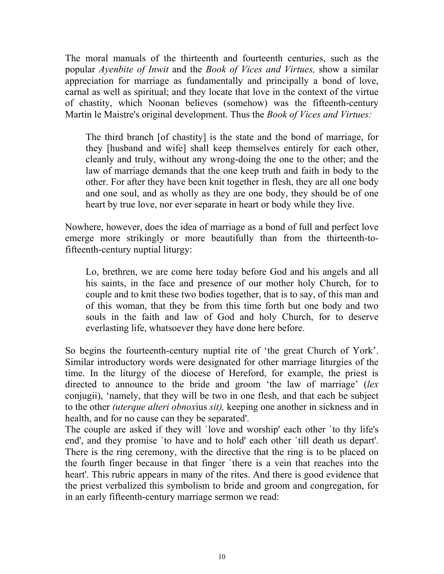The moral manuals of the thirteenth and fourteenth centuries, such as the popular *Ayenbite of Inwit* and the *Book of Vices and Virtues,* show a similar appreciation for marriage as fundamentally and principally a bond of love, carnal as well as spiritual; and they locate that love in the context of the virtue of chastity, which Noonan believes (somehow) was the fifteenth-century Martin le Maistre's original development. Thus the *Book of Vices and Virtues:* 

The third branch [of chastity] is the state and the bond of marriage, for they [husband and wife] shall keep themselves entirely for each other, cleanly and truly, without any wrong-doing the one to the other; and the law of marriage demands that the one keep truth and faith in body to the other. For after they have been knit together in flesh, they are all one body and one soul, and as wholly as they are one body, they should be of one heart by true love, nor ever separate in heart or body while they live.

Nowhere, however, does the idea of marriage as a bond of full and perfect love emerge more strikingly or more beautifully than from the thirteenth-tofifteenth-century nuptial liturgy:

Lo, brethren, we are come here today before God and his angels and all his saints, in the face and presence of our mother holy Church, for to couple and to knit these two bodies together, that is to say, of this man and of this woman, that they be from this time forth but one body and two souls in the faith and law of God and holy Church, for to deserve everlasting life, whatsoever they have done here before.

So begins the fourteenth-century nuptial rite of 'the great Church of York'. Similar introductory words were designated for other marriage liturgies of the time. In the liturgy of the diocese of Hereford, for example, the priest is directed to announce to the bride and groom 'the law of marriage' (*lex*  conjugii), 'namely, that they will be two in one flesh, and that each be subject to the other *(uterque alteri obnox*ius *sit),* keeping one another in sickness and in health, and for no cause can they be separated'.

The couple are asked if they will `love and worship' each other `to thy life's end', and they promise `to have and to hold' each other `till death us depart'. There is the ring ceremony, with the directive that the ring is to be placed on the fourth finger because in that finger `there is a vein that reaches into the heart'. This rubric appears in many of the rites. And there is good evidence that the priest verbalized this symbolism to bride and groom and congregation, for in an early fifteenth-century marriage sermon we read: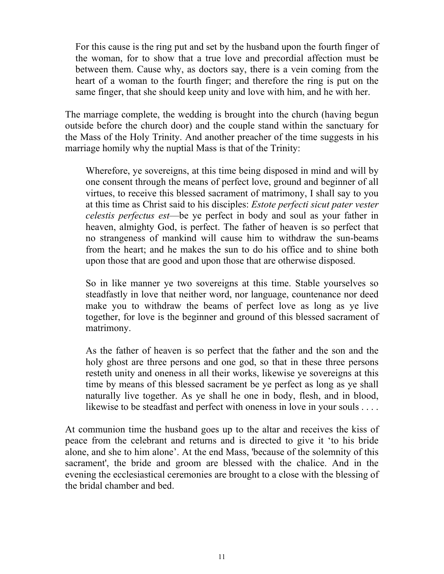For this cause is the ring put and set by the husband upon the fourth finger of the woman, for to show that a true love and precordial affection must be between them. Cause why, as doctors say, there is a vein coming from the heart of a woman to the fourth finger; and therefore the ring is put on the same finger, that she should keep unity and love with him, and he with her.

The marriage complete, the wedding is brought into the church (having begun outside before the church door) and the couple stand within the sanctuary for the Mass of the Holy Trinity. And another preacher of the time suggests in his marriage homily why the nuptial Mass is that of the Trinity:

Wherefore, ye sovereigns, at this time being disposed in mind and will by one consent through the means of perfect love, ground and beginner of all virtues, to receive this blessed sacrament of matrimony, I shall say to you at this time as Christ said to his disciples: *Estote perfecti sicut pater vester celestis perfectus est*—be ye perfect in body and soul as your father in heaven, almighty God, is perfect. The father of heaven is so perfect that no strangeness of mankind will cause him to withdraw the sun-beams from the heart; and he makes the sun to do his office and to shine both upon those that are good and upon those that are otherwise disposed.

So in like manner ye two sovereigns at this time. Stable yourselves so steadfastly in love that neither word, nor language, countenance nor deed make you to withdraw the beams of perfect love as long as ye live together, for love is the beginner and ground of this blessed sacrament of matrimony.

As the father of heaven is so perfect that the father and the son and the holy ghost are three persons and one god, so that in these three persons resteth unity and oneness in all their works, likewise ye sovereigns at this time by means of this blessed sacrament be ye perfect as long as ye shall naturally live together. As ye shall he one in body, flesh, and in blood, likewise to be steadfast and perfect with oneness in love in your souls . . . .

At communion time the husband goes up to the altar and receives the kiss of peace from the celebrant and returns and is directed to give it 'to his bride alone, and she to him alone'. At the end Mass, 'because of the solemnity of this sacrament', the bride and groom are blessed with the chalice. And in the evening the ecclesiastical ceremonies are brought to a close with the blessing of the bridal chamber and bed.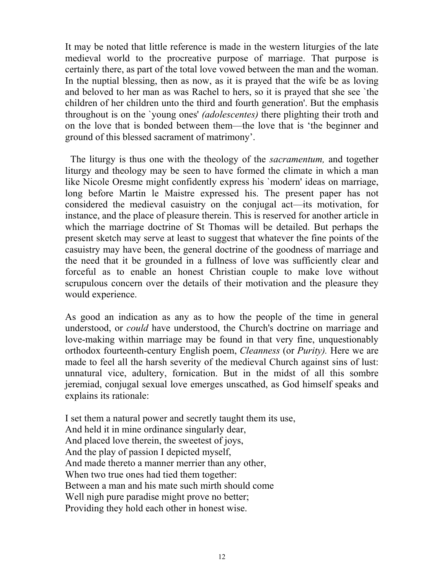It may be noted that little reference is made in the western liturgies of the late medieval world to the procreative purpose of marriage. That purpose is certainly there, as part of the total love vowed between the man and the woman. In the nuptial blessing, then as now, as it is prayed that the wife be as loving and beloved to her man as was Rachel to hers, so it is prayed that she see `the children of her children unto the third and fourth generation'. But the emphasis throughout is on the `young ones' *(adolescentes)* there plighting their troth and on the love that is bonded between them—the love that is 'the beginner and ground of this blessed sacrament of matrimony'.

The liturgy is thus one with the theology of the *sacramentum,* and together liturgy and theology may be seen to have formed the climate in which a man like Nicole Oresme might confidently express his `modern' ideas on marriage, long before Martin le Maistre expressed his. The present paper has not considered the medieval casuistry on the conjugal act—its motivation, for instance, and the place of pleasure therein. This is reserved for another article in which the marriage doctrine of St Thomas will be detailed. But perhaps the present sketch may serve at least to suggest that whatever the fine points of the casuistry may have been, the general doctrine of the goodness of marriage and the need that it be grounded in a fullness of love was sufficiently clear and forceful as to enable an honest Christian couple to make love without scrupulous concern over the details of their motivation and the pleasure they would experience.

As good an indication as any as to how the people of the time in general understood, or *could* have understood, the Church's doctrine on marriage and love-making within marriage may be found in that very fine, unquestionably orthodox fourteenth-century English poem, *Cleanness* (or *Purity).* Here we are made to feel all the harsh severity of the medieval Church against sins of lust: unnatural vice, adultery, fornication. But in the midst of all this sombre jeremiad, conjugal sexual love emerges unscathed, as God himself speaks and explains its rationale:

I set them a natural power and secretly taught them its use, And held it in mine ordinance singularly dear, And placed love therein, the sweetest of joys, And the play of passion I depicted myself, And made thereto a manner merrier than any other, When two true ones had tied them together: Between a man and his mate such mirth should come Well nigh pure paradise might prove no better; Providing they hold each other in honest wise.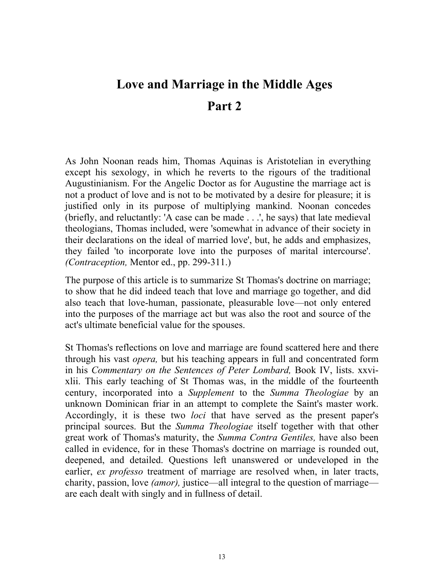### **Love and Marriage in the Middle Ages Part 2**

As John Noonan reads him, Thomas Aquinas is Aristotelian in everything except his sexology, in which he reverts to the rigours of the traditional Augustinianism. For the Angelic Doctor as for Augustine the marriage act is not a product of love and is not to be motivated by a desire for pleasure; it is justified only in its purpose of multiplying mankind. Noonan concedes (briefly, and reluctantly: 'A case can be made . . .', he says) that late medieval theologians, Thomas included, were 'somewhat in advance of their society in their declarations on the ideal of married love', but, he adds and emphasizes, they failed 'to incorporate love into the purposes of marital intercourse'. *(Contraception,* Mentor ed., pp. 299-311.)

The purpose of this article is to summarize St Thomas's doctrine on marriage; to show that he did indeed teach that love and marriage go together, and did also teach that love-human, passionate, pleasurable love—not only entered into the purposes of the marriage act but was also the root and source of the act's ultimate beneficial value for the spouses.

St Thomas's reflections on love and marriage are found scattered here and there through his vast *opera,* but his teaching appears in full and concentrated form in his *Commentary on the Sentences of Peter Lombard,* Book IV, lists. xxvixlii. This early teaching of St Thomas was, in the middle of the fourteenth century, incorporated into a *Supplement* to the *Summa Theologiae* by an unknown Dominican friar in an attempt to complete the Saint's master work. Accordingly, it is these two *loci* that have served as the present paper's principal sources. But the *Summa Theologiae* itself together with that other great work of Thomas's maturity, the *Summa Contra Gentiles,* have also been called in evidence, for in these Thomas's doctrine on marriage is rounded out, deepened, and detailed. Questions left unanswered or undeveloped in the earlier, *ex professo* treatment of marriage are resolved when, in later tracts, charity, passion, love *(amor),* justice—all integral to the question of marriage are each dealt with singly and in fullness of detail.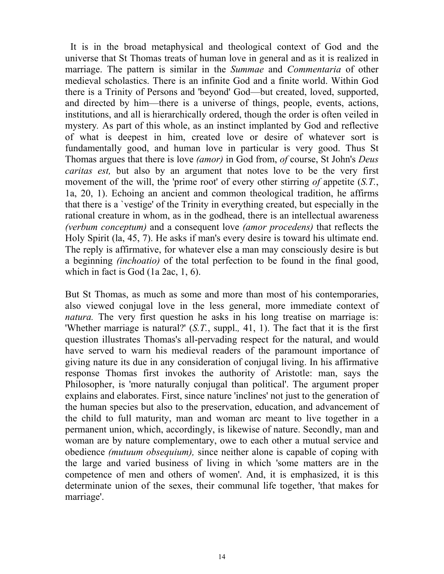It is in the broad metaphysical and theological context of God and the universe that St Thomas treats of human love in general and as it is realized in marriage. The pattern is similar in the *Summae* and *Commentaria* of other medieval scholastics. There is an infinite God and a finite world. Within God there is a Trinity of Persons and 'beyond' God—but created, loved, supported, and directed by him—there is a universe of things, people, events, actions, institutions, and all is hierarchically ordered, though the order is often veiled in mystery*.* As part of this whole, as an instinct implanted by God and reflective of what is deepest in him, created love or desire of whatever sort is fundamentally good, and human love in particular is very good. Thus St Thomas argues that there is love *(amor)* in God from, *of* course, St John's *Deus caritas est,* but also by an argument that notes love to be the very first movement of the will, the 'prime root' of every other stirring *of* appetite (*S.T.*, 1a, 20, 1). Echoing an ancient and common theological tradition, he affirms that there is a `vestige' of the Trinity in everything created, but especially in the rational creature in whom, as in the godhead, there is an intellectual awareness *(verbum conceptum)* and a consequent love *(amor procedens)* that reflects the Holy Spirit (la, 45, 7). He asks if man's every desire is toward his ultimate end. The reply is affirmative, for whatever else a man may consciously desire is but a beginning *(inchoatio)* of the total perfection to be found in the final good, which in fact is God (1a 2ac, 1, 6).

But St Thomas, as much as some and more than most of his contemporaries, also viewed conjugal love in the less general, more immediate context of *natura*. The very first question he asks in his long treatise on marriage is: 'Whether marriage is natural?' (*S.T.*, suppl.*,* 41, 1). The fact that it is the first question illustrates Thomas's all-pervading respect for the natural, and would have served to warn his medieval readers of the paramount importance of giving nature its due in any consideration of conjugal living. In his affirmative response Thomas first invokes the authority of Aristotle: man, says the Philosopher, is 'more naturally conjugal than political'. The argument proper explains and elaborates. First, since nature 'inclines' not just to the generation of the human species but also to the preservation, education, and advancement of the child to full maturity, man and woman arc meant to live together in a permanent union, which, accordingly, is likewise of nature. Secondly, man and woman are by nature complementary, owe to each other a mutual service and obedience *(mutuum obsequium),* since neither alone is capable of coping with the large and varied business of living in which 'some matters are in the competence of men and others of women'. And, it is emphasized, it is this determinate union of the sexes, their communal life together, 'that makes for marriage'.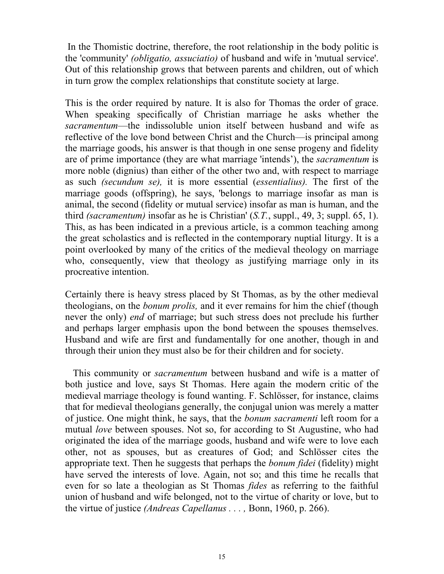In the Thomistic doctrine, therefore, the root relationship in the body politic is the 'community' *(obligatio, assuciatio)* of husband and wife in 'mutual service'. Out of this relationship grows that between parents and children, out of which in turn grow the complex relationships that constitute society at large.

This is the order required by nature. It is also for Thomas the order of grace. When speaking specifically of Christian marriage he asks whether the *sacramentum*—the indissoluble union itself between husband and wife as reflective of the love bond between Christ and the Church—is principal among the marriage goods, his answer is that though in one sense progeny and fidelity are of prime importance (they are what marriage 'intends'), the *sacramentum* is more noble (dignius) than either of the other two and, with respect to marriage as such *(secundum se),* it is more essential (*essentialius).* The first of the marriage goods (offspring), he says, 'belongs to marriage insofar as man is animal, the second (fidelity or mutual service) insofar as man is human, and the third *(sacramentum)* insofar as he is Christian' (*S.T.*, suppl., 49, 3; suppl. 65, 1). This, as has been indicated in a previous article, is a common teaching among the great scholastics and is reflected in the contemporary nuptial liturgy. It is a point overlooked by many of the critics of the medieval theology on marriage who, consequently, view that theology as justifying marriage only in its procreative intention.

Certainly there is heavy stress placed by St Thomas, as by the other medieval theologians, on the *bonum prolis,* and it ever remains for him the chief (though never the only) *end* of marriage; but such stress does not preclude his further and perhaps larger emphasis upon the bond between the spouses themselves. Husband and wife are first and fundamentally for one another, though in and through their union they must also be for their children and for society.

This community or *sacramentum* between husband and wife is a matter of both justice and love, says St Thomas. Here again the modern critic of the medieval marriage theology is found wanting. F. Schlösser, for instance, claims that for medieval theologians generally, the conjugal union was merely a matter of justice. One might think, he says, that the *bonum sacramenti* left room for a mutual *love* between spouses. Not so, for according to St Augustine, who had originated the idea of the marriage goods, husband and wife were to love each other, not as spouses, but as creatures of God; and Schlösser cites the appropriate text. Then he suggests that perhaps the *bonum fidei* (fidelity) might have served the interests of love. Again, not so; and this time he recalls that even for so late a theologian as St Thomas *fides* as referring to the faithful union of husband and wife belonged, not to the virtue of charity or love, but to the virtue of justice *(Andreas Capellanus . . . ,* Bonn, 1960, p. 266).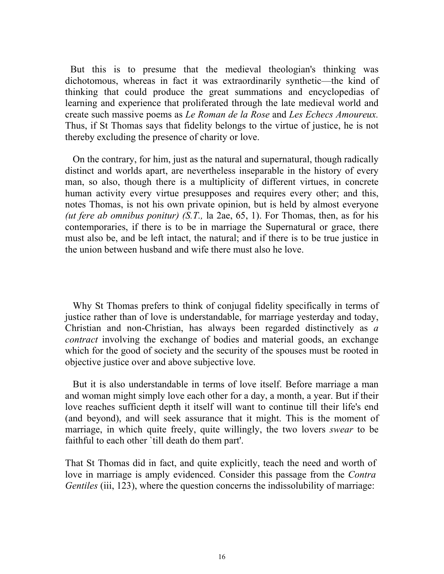But this is to presume that the medieval theologian's thinking was dichotomous, whereas in fact it was extraordinarily synthetic—the kind of thinking that could produce the great summations and encyclopedias of learning and experience that proliferated through the late medieval world and create such massive poems as *Le Roman de la Rose* and *Les Echecs Amoureux.*  Thus, if St Thomas says that fidelity belongs to the virtue of justice, he is not thereby excluding the presence of charity or love.

 On the contrary, for him, just as the natural and supernatural, though radically distinct and worlds apart, are nevertheless inseparable in the history of every man, so also, though there is a multiplicity of different virtues, in concrete human activity every virtue presupposes and requires every other; and this, notes Thomas, is not his own private opinion, but is held by almost everyone *(ut fere ab omnibus ponitur) (S.T.,* la 2ae, 65, 1). For Thomas, then, as for his contemporaries, if there is to be in marriage the Supernatural or grace, there must also be, and be left intact, the natural; and if there is to be true justice in the union between husband and wife there must also he love.

Why St Thomas prefers to think of conjugal fidelity specifically in terms of justice rather than of love is understandable, for marriage yesterday and today, Christian and non-Christian, has always been regarded distinctively as *a contract* involving the exchange of bodies and material goods, an exchange which for the good of society and the security of the spouses must be rooted in objective justice over and above subjective love.

But it is also understandable in terms of love itself. Before marriage a man and woman might simply love each other for a day, a month, a year. But if their love reaches sufficient depth it itself will want to continue till their life's end (and beyond), and will seek assurance that it might. This is the moment of marriage, in which quite freely, quite willingly, the two lovers *swear* to be faithful to each other `till death do them part'.

That St Thomas did in fact, and quite explicitly, teach the need and worth of love in marriage is amply evidenced. Consider this passage from the *Contra Gentiles* (iii, 123), where the question concerns the indissolubility of marriage: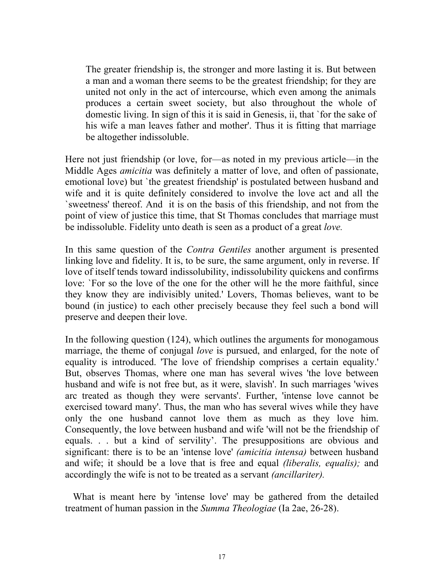The greater friendship is, the stronger and more lasting it is. But between a man and a woman there seems to be the greatest friendship; for they are united not only in the act of intercourse, which even among the animals produces a certain sweet society, but also throughout the whole of domestic living. In sign of this it is said in Genesis, ii, that `for the sake of his wife a man leaves father and mother'. Thus it is fitting that marriage be altogether indissoluble.

Here not just friendship (or love, for—as noted in my previous article—in the Middle Ages *amicitia* was definitely a matter of love, and often of passionate, emotional love) but `the greatest friendship' is postulated between husband and wife and it is quite definitely considered to involve the love act and all the `sweetness' thereof. And it is on the basis of this friendship, and not from the point of view of justice this time, that St Thomas concludes that marriage must be indissoluble. Fidelity unto death is seen as a product of a great *love.* 

In this same question of the *Contra Gentiles* another argument is presented linking love and fidelity. It is, to be sure, the same argument, only in reverse. If love of itself tends toward indissolubility, indissolubility quickens and confirms love: `For so the love of the one for the other will he the more faithful, since they know they are indivisibly united.' Lovers, Thomas believes, want to be bound (in justice) to each other precisely because they feel such a bond will preserve and deepen their love.

In the following question (124), which outlines the arguments for monogamous marriage, the theme of conjugal *love* is pursued, and enlarged, for the note of equality is introduced. 'The love of friendship comprises a certain equality.' But, observes Thomas, where one man has several wives 'the love between husband and wife is not free but, as it were, slavish'. In such marriages 'wives arc treated as though they were servants'. Further, 'intense love cannot be exercised toward many'. Thus, the man who has several wives while they have only the one husband cannot love them as much as they love him. Consequently, the love between husband and wife 'will not be the friendship of equals. . . but a kind of servility'. The presuppositions are obvious and significant: there is to be an 'intense love' *(amicitia intensa)* between husband and wife; it should be a love that is free and equal *(liberalis, equalis);* and accordingly the wife is not to be treated as a servant *(ancillariter).* 

What is meant here by 'intense love' may be gathered from the detailed treatment of human passion in the *Summa Theologiae* (Ia 2ae, 26-28).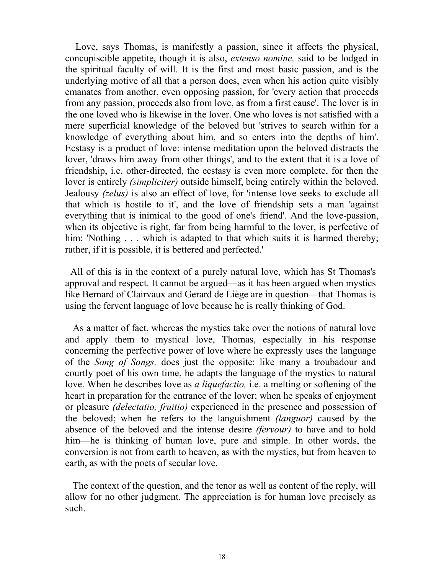Love, says Thomas, is manifestly a passion, since it affects the physical, concupiscible appetite, though it is also, *extenso nomine,* said to be lodged in the spiritual faculty of will. It is the first and most basic passion, and is the underlying motive of all that a person does, even when his action quite visibly emanates from another, even opposing passion, for 'every action that proceeds from any passion, proceeds also from love, as from a first cause'. The lover is in the one loved who is likewise in the lover. One who loves is not satisfied with a mere superficial knowledge of the beloved but 'strives to search within for a knowledge of everything about him, and so enters into the depths of him'. Ecstasy is a product of love: intense meditation upon the beloved distracts the lover, 'draws him away from other things', and to the extent that it is a love of friendship, i.e. other-directed, the ecstasy is even more complete, for then the lover is entirely *(simpliciter)* outside himself, being entirely within the beloved. Jealousy *(zelus)* is also an effect of love, for 'intense love seeks to exclude all that which is hostile to it', and the love of friendship sets a man 'against everything that is inimical to the good of one's friend'. And the love-passion, when its objective is right, far from being harmful to the lover, is perfective of him: 'Nothing . . . which is adapted to that which suits it is harmed thereby; rather, if it is possible, it is bettered and perfected.'

All of this is in the context of a purely natural love, which has St Thomas's approval and respect. It cannot be argued—as it has been argued when mystics like Bernard of Clairvaux and Gerard de Liège are in question—that Thomas is using the fervent language of love because he is really thinking of God.

As a matter of fact, whereas the mystics take over the notions of natural love and apply them to mystical love, Thomas, especially in his response concerning the perfective power of love where he expressly uses the language of the *Song of Songs,* does just the opposite: like many a troubadour and courtly poet of his own time, he adapts the language of the mystics to natural love. When he describes love as *a liquefactio,* i.e. a melting or softening of the heart in preparation for the entrance of the lover; when he speaks of enjoyment or pleasure *(delectatio, fruitio)* experienced in the presence and possession of the beloved; when he refers to the languishment *(languor)* caused by the absence of the beloved and the intense desire *(fervour)* to have and to hold him—he is thinking of human love, pure and simple. In other words, the conversion is not from earth to heaven, as with the mystics, but from heaven to earth, as with the poets of secular love.

 The context of the question, and the tenor as well as content of the reply, will allow for no other judgment. The appreciation is for human love precisely as such.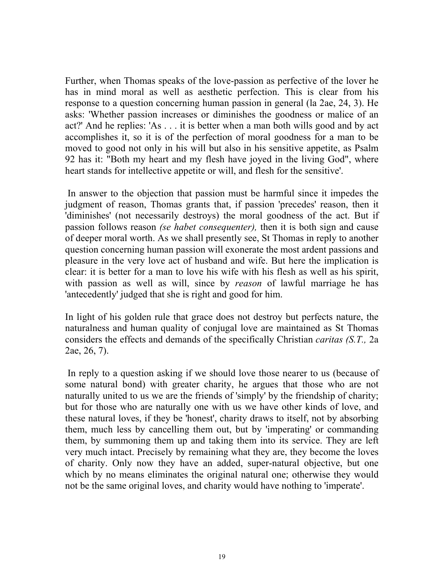Further, when Thomas speaks of the love-passion as perfective of the lover he has in mind moral as well as aesthetic perfection. This is clear from his response to a question concerning human passion in general (la 2ae, 24, 3). He asks: 'Whether passion increases or diminishes the goodness or malice of an act?' And he replies: 'As . . . it is better when a man both wills good and by act accomplishes it, so it is of the perfection of moral goodness for a man to be moved to good not only in his will but also in his sensitive appetite, as Psalm 92 has it: "Both my heart and my flesh have joyed in the living God", where heart stands for intellective appetite or will, and flesh for the sensitive'.

In answer to the objection that passion must be harmful since it impedes the judgment of reason, Thomas grants that, if passion 'precedes' reason, then it 'diminishes' (not necessarily destroys) the moral goodness of the act. But if passion follows reason *(se habet consequenter),* then it is both sign and cause of deeper moral worth. As we shall presently see, St Thomas in reply to another question concerning human passion will exonerate the most ardent passions and pleasure in the very love act of husband and wife. But here the implication is clear: it is better for a man to love his wife with his flesh as well as his spirit, with passion as well as will, since by *reason* of lawful marriage he has 'antecedently' judged that she is right and good for him.

In light of his golden rule that grace does not destroy but perfects nature, the naturalness and human quality of conjugal love are maintained as St Thomas considers the effects and demands of the specifically Christian *caritas (S.T.,* 2a 2ae, 26, 7).

In reply to a question asking if we should love those nearer to us (because of some natural bond) with greater charity, he argues that those who are not naturally united to us we are the friends of 'simply' by the friendship of charity; but for those who are naturally one with us we have other kinds of love, and these natural loves, if they be 'honest', charity draws to itself, not by absorbing them, much less by cancelling them out, but by 'imperating' or commanding them, by summoning them up and taking them into its service. They are left very much intact. Precisely by remaining what they are, they become the loves of charity. Only now they have an added, super-natural objective, but one which by no means eliminates the original natural one; otherwise they would not be the same original loves, and charity would have nothing to 'imperate'.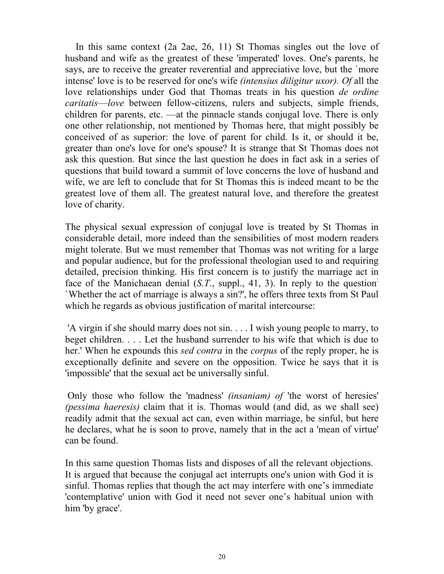In this same context (2a 2ae, 26, 11) St Thomas singles out the love of husband and wife as the greatest of these 'imperated' loves. One's parents, he says, are to receive the greater reverential and appreciative love, but the `more intense' love is to be reserved for one's wife *(intensius diligitur uxor). Of* all the love relationships under God that Thomas treats in his question *de ordine caritatis*—*love* between fellow-citizens, rulers and subjects, simple friends, children for parents, etc. —at the pinnacle stands conjugal love. There is only one other relationship, not mentioned by Thomas here, that might possibly be conceived of as superior: the love of parent for child. Is it, or should it be, greater than one's love for one's spouse? It is strange that St Thomas does not ask this question. But since the last question he does in fact ask in a series of questions that build toward a summit of love concerns the love of husband and wife, we are left to conclude that for St Thomas this is indeed meant to be the greatest love of them all. The greatest natural love, and therefore the greatest love of charity.

The physical sexual expression of conjugal love is treated by St Thomas in considerable detail, more indeed than the sensibilities of most modern readers might tolerate. But we must remember that Thomas was not writing for a large and popular audience, but for the professional theologian used to and requiring detailed, precision thinking. His first concern is to justify the marriage act in face of the Manichaean denial (*S.T.*, suppl., 41, 3). In reply to the question<sup>:</sup> `Whether the act of marriage is always a sin?', he offers three texts from St Paul which he regards as obvious justification of marital intercourse:

 'A virgin if she should marry does not sin. . . . I wish young people to marry, to beget children. . . . Let the husband surrender to his wife that which is due to her.' When he expounds this *sed contra* in the *corpus* of the reply proper, he is exceptionally definite and severe on the opposition. Twice he says that it is 'impossible' that the sexual act be universally sinful.

Only those who follow the 'madness' *(insaniam) of* 'the worst of heresies' *(pessima haeresis)* claim that it is. Thomas would (and did, as we shall see) readily admit that the sexual act can, even within marriage, be sinful, but here he declares, what he is soon to prove, namely that in the act a 'mean of virtue' can be found.

In this same question Thomas lists and disposes of all the relevant objections. It is argued that because the conjugal act interrupts one's union with God it is sinful. Thomas replies that though the act may interfere with one's immediate 'contemplative' union with God it need not sever one's habitual union with him 'by grace'.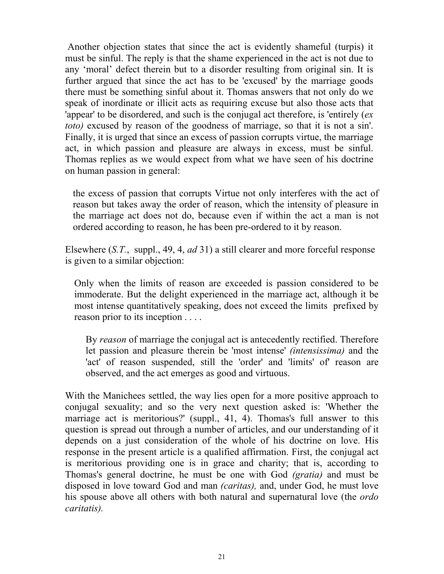Another objection states that since the act is evidently shameful (turpis) it must be sinful. The reply is that the shame experienced in the act is not due to any 'moral' defect therein but to a disorder resulting from original sin. It is further argued that since the act has to be 'excused' by the marriage goods there must be something sinful about it. Thomas answers that not only do we speak of inordinate or illicit acts as requiring excuse but also those acts that 'appear' to be disordered, and such is the conjugal act therefore, is 'entirely (*ex toto)* excused by reason of the goodness of marriage, so that it is not a sin'. Finally, it is urged that since an excess of passion corrupts virtue, the marriage act, in which passion and pleasure are always in excess, must be sinful. Thomas replies as we would expect from what we have seen of his doctrine on human passion in general:

the excess of passion that corrupts Virtue not only interferes with the act of reason but takes away the order of reason, which the intensity of pleasure in the marriage act does not do, because even if within the act a man is not ordered according to reason, he has been pre-ordered to it by reason.

Elsewhere (*S.T.*, suppl., 49, 4, *ad* 31) a still clearer and more forceful response is given to a similar objection:

Only when the limits of reason are exceeded is passion considered to be immoderate. But the delight experienced in the marriage act, although it be most intense quantitatively speaking, does not exceed the limits prefixed by reason prior to its inception . . . .

By *reason* of marriage the conjugal act is antecedently rectified. Therefore let passion and pleasure therein be 'most intense' *(intensissima)* and the 'act' of reason suspended, still the 'order' and 'limits' of reason are observed, and the act emerges as good and virtuous.

With the Manichees settled, the way lies open for a more positive approach to conjugal sexuality; and so the very next question asked is: 'Whether the marriage act is meritorious?' (suppl., 41, 4). Thomas's full answer to this question is spread out through a number of articles, and our understanding of it depends on a just consideration of the whole of his doctrine on love. His response in the present article is a qualified affirmation. First, the conjugal act is meritorious providing one is in grace and charity; that is, according to Thomas's general doctrine, he must be one with God *(gratia)* and must be disposed in love toward God and man *(caritas),* and, under God, he must love his spouse above all others with both natural and supernatural love (the *ordo caritatis).*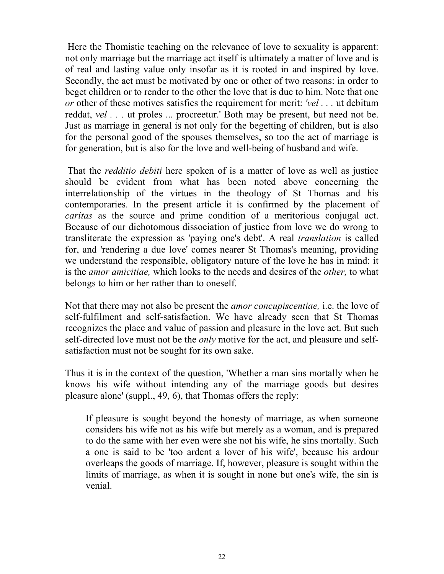Here the Thomistic teaching on the relevance of love to sexuality is apparent: not only marriage but the marriage act itself is ultimately a matter of love and is of real and lasting value only insofar as it is rooted in and inspired by love. Secondly, the act must be motivated by one or other of two reasons: in order to beget children or to render to the other the love that is due to him. Note that one *or* other of these motives satisfies the requirement for merit: *'vel . . .* ut debitum reddat, *vel . . .* ut proles ... procreetur.' Both may be present, but need not be. Just as marriage in general is not only for the begetting of children, but is also for the personal good of the spouses themselves, so too the act of marriage is for generation, but is also for the love and well-being of husband and wife.

 That the *redditio debiti* here spoken of is a matter of love as well as justice should be evident from what has been noted above concerning the interrelationship of the virtues in the theology of St Thomas and his contemporaries. In the present article it is confirmed by the placement of *caritas* as the source and prime condition of a meritorious conjugal act. Because of our dichotomous dissociation of justice from love we do wrong to transliterate the expression as 'paying one's debt'. A real *translation* is called for, and 'rendering a due love' comes nearer St Thomas's meaning, providing we understand the responsible, obligatory nature of the love he has in mind: it is the *amor amicitiae,* which looks to the needs and desires of the *other,* to what belongs to him or her rather than to oneself.

Not that there may not also be present the *amor concupiscentiae,* i.e. the love of self-fulfilment and self-satisfaction. We have already seen that St Thomas recognizes the place and value of passion and pleasure in the love act. But such self-directed love must not be the *only* motive for the act, and pleasure and selfsatisfaction must not be sought for its own sake.

Thus it is in the context of the question, 'Whether a man sins mortally when he knows his wife without intending any of the marriage goods but desires pleasure alone' (suppl., 49, 6), that Thomas offers the reply:

If pleasure is sought beyond the honesty of marriage, as when someone considers his wife not as his wife but merely as a woman, and is prepared to do the same with her even were she not his wife, he sins mortally. Such a one is said to be 'too ardent a lover of his wife', because his ardour overleaps the goods of marriage. If, however, pleasure is sought within the limits of marriage, as when it is sought in none but one's wife, the sin is venial.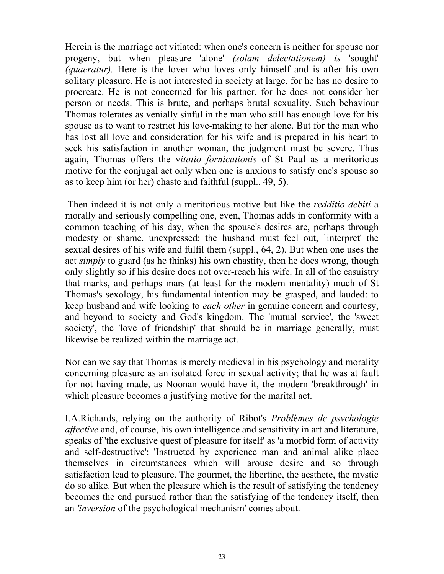Herein is the marriage act vitiated: when one's concern is neither for spouse nor progeny, but when pleasure 'alone' *(solam delectationem) is* 'sought' *(quaeratur).* Here is the lover who loves only himself and is after his own solitary pleasure. He is not interested in society at large, for he has no desire to procreate. He is not concerned for his partner, for he does not consider her person or needs. This is brute, and perhaps brutal sexuality. Such behaviour Thomas tolerates as venially sinful in the man who still has enough love for his spouse as to want to restrict his love-making to her alone. But for the man who has lost all love and consideration for his wife and is prepared in his heart to seek his satisfaction in another woman, the judgment must be severe. Thus again, Thomas offers the v*itatio fornicationis* of St Paul as a meritorious motive for the conjugal act only when one is anxious to satisfy one's spouse so as to keep him (or her) chaste and faithful (suppl., 49, 5).

Then indeed it is not only a meritorious motive but like the *redditio debiti* a morally and seriously compelling one, even, Thomas adds in conformity with a common teaching of his day, when the spouse's desires are, perhaps through modesty or shame. unexpressed: the husband must feel out, `interpret' the sexual desires of his wife and fulfil them (suppl., 64, 2). But when one uses the act *simply* to guard (as he thinks) his own chastity, then he does wrong, though only slightly so if his desire does not over-reach his wife. In all of the casuistry that marks, and perhaps mars (at least for the modern mentality) much of St Thomas's sexology, his fundamental intention may be grasped, and lauded: to keep husband and wife looking to *each other* in genuine concern and courtesy, and beyond to society and God's kingdom. The 'mutual service', the 'sweet society', the 'love of friendship' that should be in marriage generally, must likewise be realized within the marriage act.

Nor can we say that Thomas is merely medieval in his psychology and morality concerning pleasure as an isolated force in sexual activity; that he was at fault for not having made, as Noonan would have it, the modern 'breakthrough' in which pleasure becomes a justifying motive for the marital act.

I.A.Richards, relying on the authority of Ribot's *Probl*è*mes de psychologie affective* and, of course, his own intelligence and sensitivity in art and literature, speaks of 'the exclusive quest of pleasure for itself' as 'a morbid form of activity and self-destructive': 'Instructed by experience man and animal alike place themselves in circumstances which will arouse desire and so through satisfaction lead to pleasure. The gourmet, the libertine, the aesthete, the mystic do so alike. But when the pleasure which is the result of satisfying the tendency becomes the end pursued rather than the satisfying of the tendency itself, then an *'inversion* of the psychological mechanism' comes about.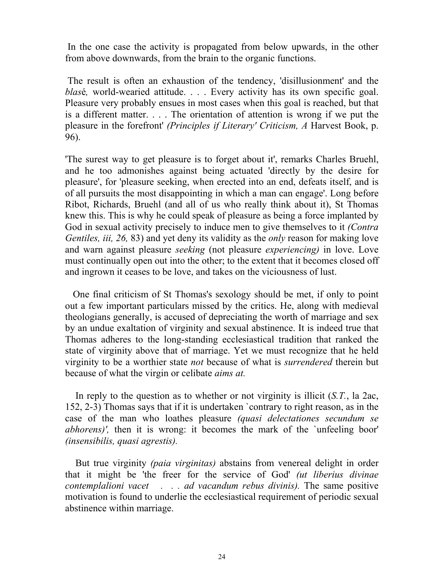In the one case the activity is propagated from below upwards, in the other from above downwards, from the brain to the organic functions.

The result is often an exhaustion of the tendency, 'disillusionment' and the *blas*é*,* world-wearied attitude. . . . Every activity has its own specific goal. Pleasure very probably ensues in most cases when this goal is reached, but that is a different matter. . . . The orientation of attention is wrong if we put the pleasure in the forefront' *(Principles if Literary' Criticism, A* Harvest Book, p. 96).

'The surest way to get pleasure is to forget about it', remarks Charles Bruehl, and he too admonishes against being actuated 'directly by the desire for pleasure', for 'pleasure seeking, when erected into an end, defeats itself, and is of all pursuits the most disappointing in which a man can engage'. Long before Ribot, Richards, Bruehl (and all of us who really think about it), St Thomas knew this. This is why he could speak of pleasure as being a force implanted by God in sexual activity precisely to induce men to give themselves to it *(Contra Gentiles, iii, 26,* 83) and yet deny its validity as the *only* reason for making love and warn against pleasure *seeking* (not pleasure *experiencing)* in love. Love must continually open out into the other; to the extent that it becomes closed off and ingrown it ceases to be love, and takes on the viciousness of lust.

One final criticism of St Thomas's sexology should be met, if only to point out a few important particulars missed by the critics. He, along with medieval theologians generally, is accused of depreciating the worth of marriage and sex by an undue exaltation of virginity and sexual abstinence. It is indeed true that Thomas adheres to the long-standing ecclesiastical tradition that ranked the state of virginity above that of marriage. Yet we must recognize that he held virginity to be a worthier state *not* because of what is *surrendered* therein but because of what the virgin or celibate *aims at.* 

In reply to the question as to whether or not virginity is illicit (*S.T.*, la 2ac, 152, 2-3) Thomas says that if it is undertaken `contrary to right reason, as in the case of the man who loathes pleasure *(quasi delectationes secundum se abhorens)',* then it is wrong: it becomes the mark of the `unfeeling boor' *(insensibilis, quasi agrestis).*

But true virginity *(paia virginitas)* abstains from venereal delight in order that it might be 'the freer for the service of God' *(ut liberius divinae contemplalioni vacet . . . ad vacandum rebus divinis).* The same positive motivation is found to underlie the ecclesiastical requirement of periodic sexual abstinence within marriage.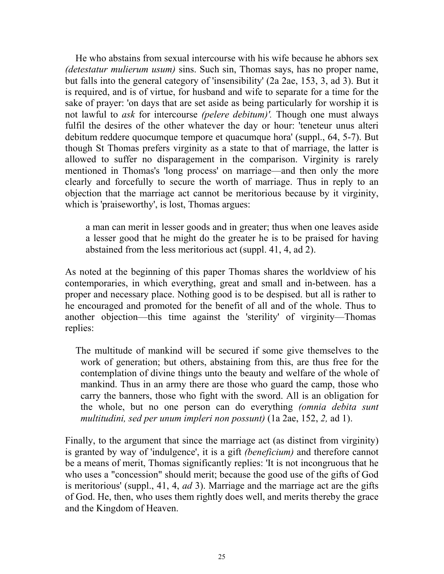He who abstains from sexual intercourse with his wife because he abhors sex *(detestatur mulierum usum)* sins. Such sin, Thomas says, has no proper name, but falls into the general category of 'insensibility' (2a 2ae, 153, 3, ad 3). But it is required, and is of virtue, for husband and wife to separate for a time for the sake of prayer: 'on days that are set aside as being particularly for worship it is not lawful to *ask* for intercourse *(pelere debitum)'.* Though one must always fulfil the desires of the other whatever the day or hour: 'teneteur unus alteri debitum reddere quocumque tempore et quacumque hora' (suppl., 64, 5-7). But though St Thomas prefers virginity as a state to that of marriage, the latter is allowed to suffer no disparagement in the comparison. Virginity is rarely mentioned in Thomas's 'long process' on marriage—and then only the more clearly and forcefully to secure the worth of marriage. Thus in reply to an objection that the marriage act cannot be meritorious because by it virginity, which is 'praiseworthy', is lost, Thomas argues:

a man can merit in lesser goods and in greater; thus when one leaves aside a lesser good that he might do the greater he is to be praised for having abstained from the less meritorious act (suppl. 41, 4, ad 2).

As noted at the beginning of this paper Thomas shares the worldview of his contemporaries, in which everything, great and small and in-between. has a proper and necessary place. Nothing good is to be despised. but all is rather to he encouraged and promoted for the benefit of all and of the whole. Thus to another objection—this time against the 'sterility' of virginity—Thomas replies:

The multitude of mankind will be secured if some give themselves to the work of generation; but others, abstaining from this, are thus free for the contemplation of divine things unto the beauty and welfare of the whole of mankind. Thus in an army there are those who guard the camp, those who carry the banners, those who fight with the sword. All is an obligation for the whole, but no one person can do everything *(omnia debita sunt multitudini, sed per unum impleri non possunt)* (1a 2ae, 152, *2,* ad 1).

Finally, to the argument that since the marriage act (as distinct from virginity) is granted by way of 'indulgence', it is a gift *(beneficium)* and therefore cannot be a means of merit, Thomas significantly replies: 'It is not incongruous that he who uses a "concession" should merit; because the good use of the gifts of God is meritorious' (suppl., 41, 4, *ad* 3). Marriage and the marriage act are the gifts of God. He, then, who uses them rightly does well, and merits thereby the grace and the Kingdom of Heaven.